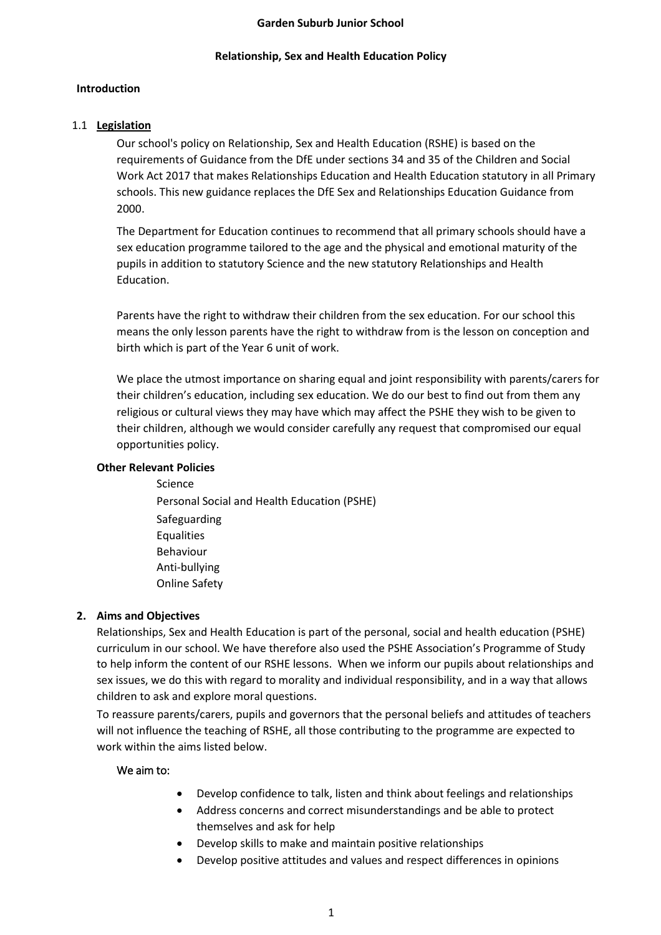#### **Garden Suburb Junior School**

#### **Relationship, Sex and Health Education Policy**

#### **Introduction**

#### 1.1 **Legislation**

Our school's policy on Relationship, Sex and Health Education (RSHE) is based on the requirements of Guidance from the DfE under sections 34 and 35 of the Children and Social Work Act 2017 that makes Relationships Education and Health Education statutory in all Primary schools. This new guidance replaces the DfE Sex and Relationships Education Guidance from 2000.

The Department for Education continues to recommend that all primary schools should have a sex education programme tailored to the age and the physical and emotional maturity of the pupils in addition to statutory Science and the new statutory Relationships and Health Education.

Parents have the right to withdraw their children from the sex education. For our school this means the only lesson parents have the right to withdraw from is the lesson on conception and birth which is part of the Year 6 unit of work.

We place the utmost importance on sharing equal and joint responsibility with parents/carers for their children's education, including sex education. We do our best to find out from them any religious or cultural views they may have which may affect the PSHE they wish to be given to their children, although we would consider carefully any request that compromised our equal opportunities policy.

#### **Other Relevant Policies**

Science Personal Social and Health Education (PSHE) Safeguarding **Equalities** Behaviour Anti-bullying Online Safety

#### **2. Aims and Objectives**

Relationships, Sex and Health Education is part of the personal, social and health education (PSHE) curriculum in our school. We have therefore also used the PSHE Association's Programme of Study to help inform the content of our RSHE lessons. When we inform our pupils about relationships and sex issues, we do this with regard to morality and individual responsibility, and in a way that allows children to ask and explore moral questions.

To reassure parents/carers, pupils and governors that the personal beliefs and attitudes of teachers will not influence the teaching of RSHE, all those contributing to the programme are expected to work within the aims listed below.

#### We aim to:

- Develop confidence to talk, listen and think about feelings and relationships
- Address concerns and correct misunderstandings and be able to protect themselves and ask for help
- Develop skills to make and maintain positive relationships
- Develop positive attitudes and values and respect differences in opinions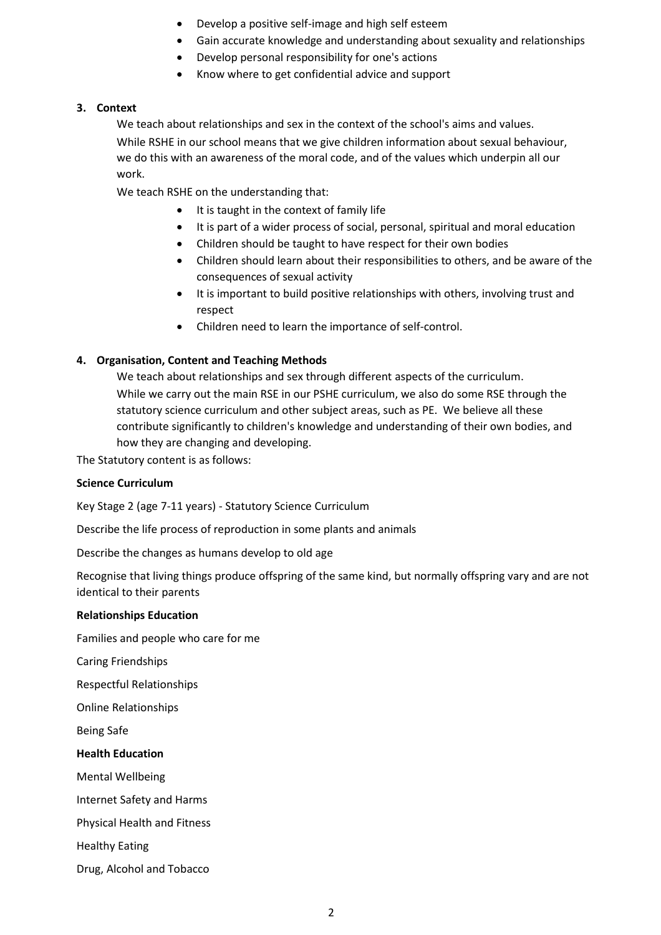- Develop a positive self-image and high self esteem
- Gain accurate knowledge and understanding about sexuality and relationships
- Develop personal responsibility for one's actions
- Know where to get confidential advice and support

## **3. Context**

We teach about relationships and sex in the context of the school's aims and values. While RSHE in our school means that we give children information about sexual behaviour, we do this with an awareness of the moral code, and of the values which underpin all our work.

We teach RSHE on the understanding that:

- It is taught in the context of family life
- It is part of a wider process of social, personal, spiritual and moral education
- Children should be taught to have respect for their own bodies
- Children should learn about their responsibilities to others, and be aware of the consequences of sexual activity
- It is important to build positive relationships with others, involving trust and respect
- Children need to learn the importance of self-control.

## **4. Organisation, Content and Teaching Methods**

We teach about relationships and sex through different aspects of the curriculum. While we carry out the main RSE in our PSHE curriculum, we also do some RSE through the statutory science curriculum and other subject areas, such as PE. We believe all these contribute significantly to children's knowledge and understanding of their own bodies, and how they are changing and developing.

The Statutory content is as follows:

#### **Science Curriculum**

Key Stage 2 (age 7-11 years) - Statutory Science Curriculum

Describe the life process of reproduction in some plants and animals

Describe the changes as humans develop to old age

Recognise that living things produce offspring of the same kind, but normally offspring vary and are not identical to their parents

#### **Relationships Education**

Families and people who care for me

Caring Friendships

Respectful Relationships

Online Relationships

Being Safe

#### **Health Education**

Mental Wellbeing

Internet Safety and Harms

Physical Health and Fitness

Healthy Eating

Drug, Alcohol and Tobacco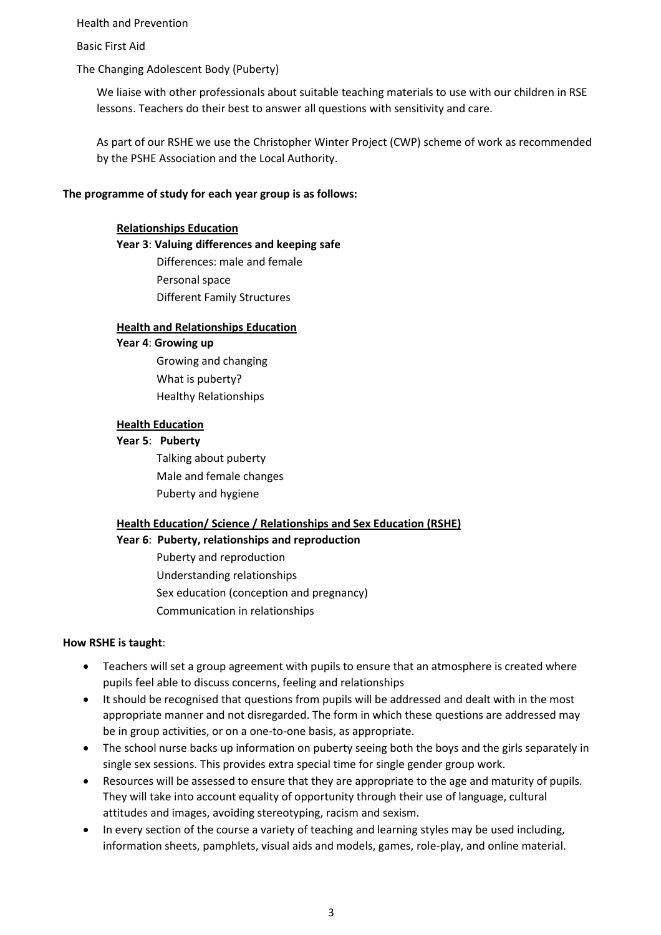Health and Prevention

Basic First Aid

The Changing Adolescent Body (Puberty)

We liaise with other professionals about suitable teaching materials to use with our children in RSE lessons. Teachers do their best to answer all questions with sensitivity and care.

As part of our RSHE we use the Christopher Winter Project (CWP) scheme of work as recommended by the PSHE Association and the Local Authority.

## **The programme of study for each year group is as follows:**

### **Relationships Education**

## **Year 3**: **Valuing differences and keeping safe**

Differences: male and female Personal space Different Family Structures

#### **Health and Relationships Education**

**Year 4**: **Growing up**

Growing and changing What is puberty? Healthy Relationships

## **Health Education**

**Year 5**: **Puberty** 

Talking about puberty Male and female changes Puberty and hygiene

## **Health Education/ Science / Relationships and Sex Education (RSHE)**

**Year 6**: **Puberty, relationships and reproduction**

Puberty and reproduction Understanding relationships Sex education (conception and pregnancy) Communication in relationships

#### **How RSHE is taught**:

- Teachers will set a group agreement with pupils to ensure that an atmosphere is created where pupils feel able to discuss concerns, feeling and relationships
- It should be recognised that questions from pupils will be addressed and dealt with in the most appropriate manner and not disregarded. The form in which these questions are addressed may be in group activities, or on a one-to-one basis, as appropriate.
- The school nurse backs up information on puberty seeing both the boys and the girls separately in single sex sessions. This provides extra special time for single gender group work.
- Resources will be assessed to ensure that they are appropriate to the age and maturity of pupils. They will take into account equality of opportunity through their use of language, cultural attitudes and images, avoiding stereotyping, racism and sexism.
- In every section of the course a variety of teaching and learning styles may be used including, information sheets, pamphlets, visual aids and models, games, role-play, and online material.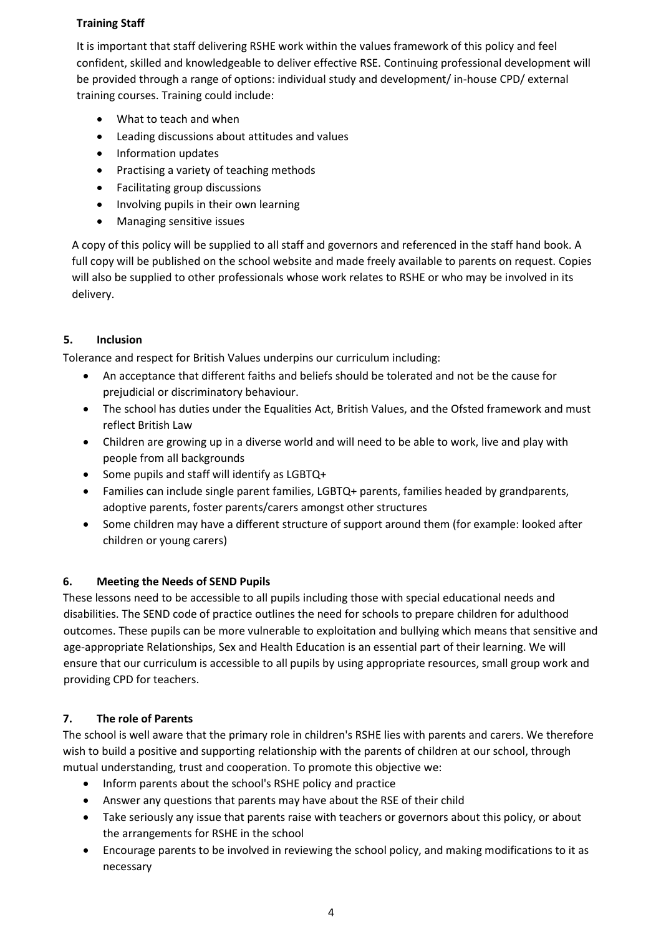## **Training Staff**

It is important that staff delivering RSHE work within the values framework of this policy and feel confident, skilled and knowledgeable to deliver effective RSE. Continuing professional development will be provided through a range of options: individual study and development/ in-house CPD/ external training courses. Training could include:

- What to teach and when
- Leading discussions about attitudes and values
- Information updates
- Practising a variety of teaching methods
- Facilitating group discussions
- Involving pupils in their own learning
- Managing sensitive issues

A copy of this policy will be supplied to all staff and governors and referenced in the staff hand book. A full copy will be published on the school website and made freely available to parents on request. Copies will also be supplied to other professionals whose work relates to RSHE or who may be involved in its delivery.

## **5. Inclusion**

Tolerance and respect for British Values underpins our curriculum including:

- An acceptance that different faiths and beliefs should be tolerated and not be the cause for prejudicial or discriminatory behaviour.
- The school has duties under the Equalities Act, British Values, and the Ofsted framework and must reflect British Law
- Children are growing up in a diverse world and will need to be able to work, live and play with people from all backgrounds
- Some pupils and staff will identify as LGBTQ+
- Families can include single parent families, LGBTQ+ parents, families headed by grandparents, adoptive parents, foster parents/carers amongst other structures
- Some children may have a different structure of support around them (for example: looked after children or young carers)

## **6. Meeting the Needs of SEND Pupils**

These lessons need to be accessible to all pupils including those with special educational needs and disabilities. The SEND code of practice outlines the need for schools to prepare children for adulthood outcomes. These pupils can be more vulnerable to exploitation and bullying which means that sensitive and age-appropriate Relationships, Sex and Health Education is an essential part of their learning. We will ensure that our curriculum is accessible to all pupils by using appropriate resources, small group work and providing CPD for teachers.

## **7. The role of Parents**

The school is well aware that the primary role in children's RSHE lies with parents and carers. We therefore wish to build a positive and supporting relationship with the parents of children at our school, through mutual understanding, trust and cooperation. To promote this objective we:

- Inform parents about the school's RSHE policy and practice
- Answer any questions that parents may have about the RSE of their child
- Take seriously any issue that parents raise with teachers or governors about this policy, or about the arrangements for RSHE in the school
- Encourage parents to be involved in reviewing the school policy, and making modifications to it as necessary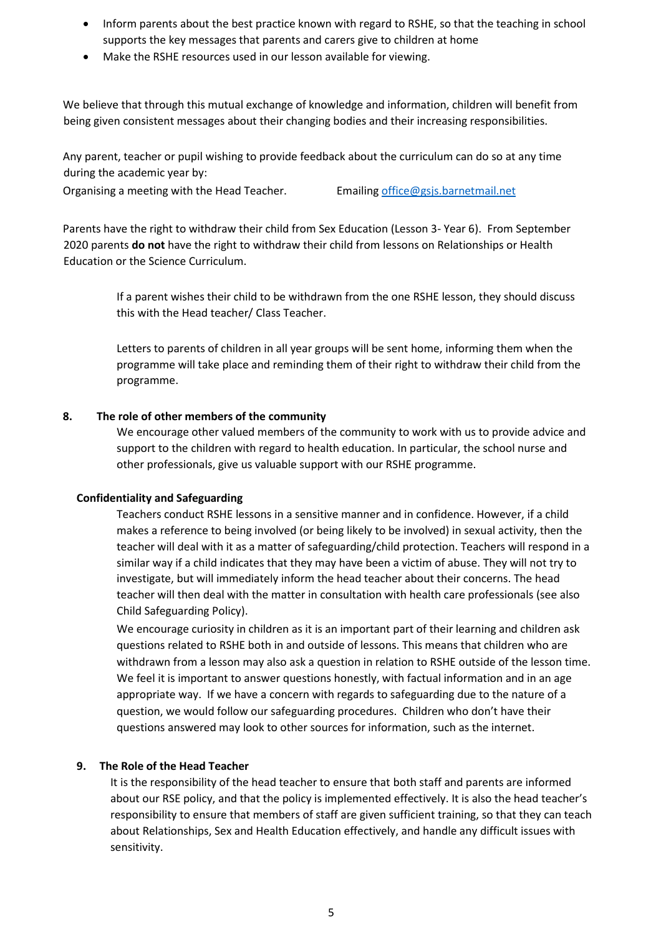- Inform parents about the best practice known with regard to RSHE, so that the teaching in school supports the key messages that parents and carers give to children at home
- Make the RSHE resources used in our lesson available for viewing.

We believe that through this mutual exchange of knowledge and information, children will benefit from being given consistent messages about their changing bodies and their increasing responsibilities.

Any parent, teacher or pupil wishing to provide feedback about the curriculum can do so at any time during the academic year by:

Organising a meeting with the Head Teacher. Emailin[g office@gsjs.barnetmail.net](mailto:office@gsjs.barnetmail.net)

Parents have the right to withdraw their child from Sex Education (Lesson 3- Year 6). From September 2020 parents **do not** have the right to withdraw their child from lessons on Relationships or Health Education or the Science Curriculum.

> If a parent wishes their child to be withdrawn from the one RSHE lesson, they should discuss this with the Head teacher/ Class Teacher.

Letters to parents of children in all year groups will be sent home, informing them when the programme will take place and reminding them of their right to withdraw their child from the programme.

#### **8. The role of other members of the community**

We encourage other valued members of the community to work with us to provide advice and support to the children with regard to health education. In particular, the school nurse and other professionals, give us valuable support with our RSHE programme.

#### **Confidentiality and Safeguarding**

Teachers conduct RSHE lessons in a sensitive manner and in confidence. However, if a child makes a reference to being involved (or being likely to be involved) in sexual activity, then the teacher will deal with it as a matter of safeguarding/child protection. Teachers will respond in a similar way if a child indicates that they may have been a victim of abuse. They will not try to investigate, but will immediately inform the head teacher about their concerns. The head teacher will then deal with the matter in consultation with health care professionals (see also Child Safeguarding Policy).

We encourage curiosity in children as it is an important part of their learning and children ask questions related to RSHE both in and outside of lessons. This means that children who are withdrawn from a lesson may also ask a question in relation to RSHE outside of the lesson time. We feel it is important to answer questions honestly, with factual information and in an age appropriate way. If we have a concern with regards to safeguarding due to the nature of a question, we would follow our safeguarding procedures. Children who don't have their questions answered may look to other sources for information, such as the internet.

#### **9. The Role of the Head Teacher**

It is the responsibility of the head teacher to ensure that both staff and parents are informed about our RSE policy, and that the policy is implemented effectively. It is also the head teacher's responsibility to ensure that members of staff are given sufficient training, so that they can teach about Relationships, Sex and Health Education effectively, and handle any difficult issues with sensitivity.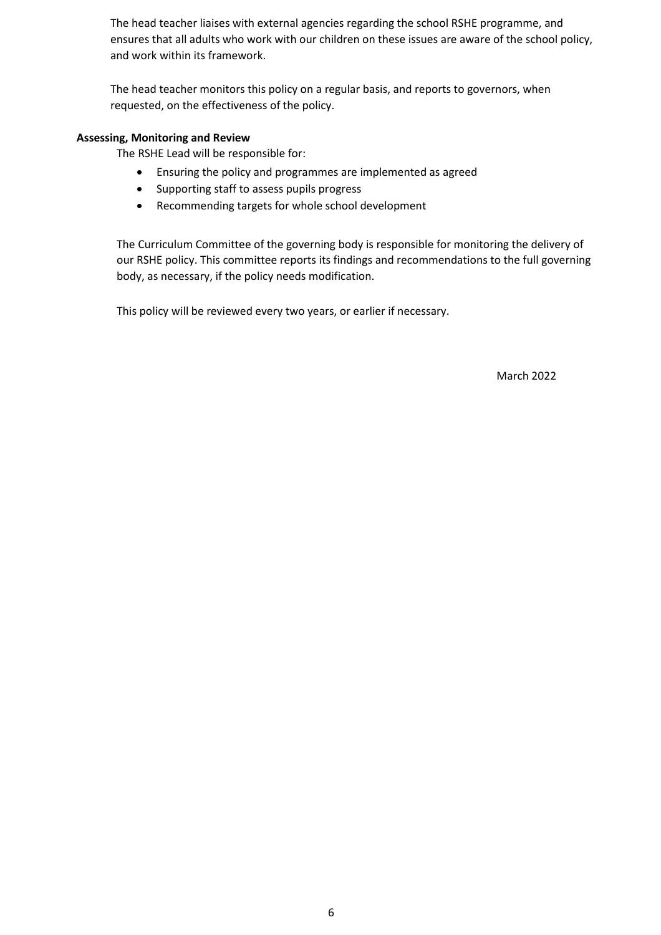The head teacher liaises with external agencies regarding the school RSHE programme, and ensures that all adults who work with our children on these issues are aware of the school policy, and work within its framework.

The head teacher monitors this policy on a regular basis, and reports to governors, when requested, on the effectiveness of the policy.

### **Assessing, Monitoring and Review**

The RSHE Lead will be responsible for:

- Ensuring the policy and programmes are implemented as agreed
- Supporting staff to assess pupils progress
- Recommending targets for whole school development

The Curriculum Committee of the governing body is responsible for monitoring the delivery of our RSHE policy. This committee reports its findings and recommendations to the full governing body, as necessary, if the policy needs modification.

This policy will be reviewed every two years, or earlier if necessary.

March 2022